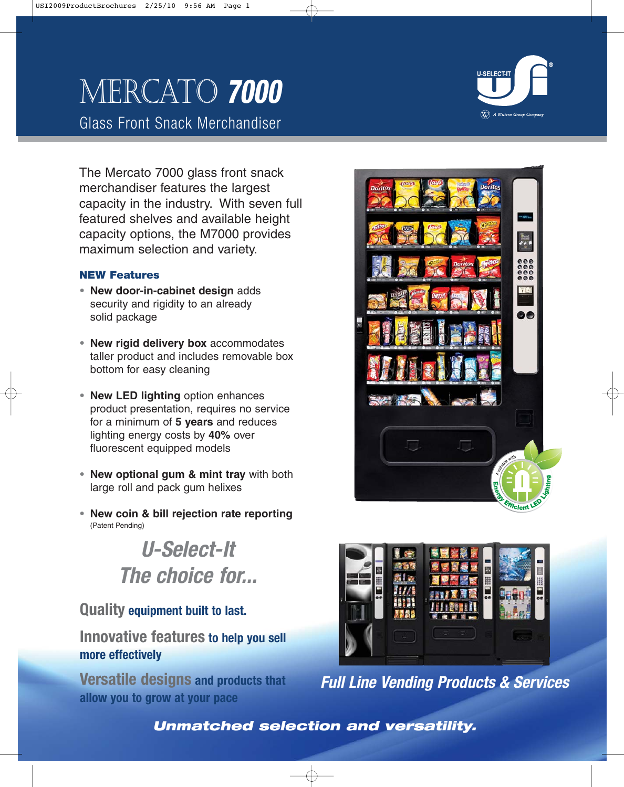# Mercato **7000**

Glass Front Snack Merchandiser

The Mercato 7000 glass front snack merchandiser features the largest capacity in the industry. With seven full featured shelves and available height capacity options, the M7000 provides maximum selection and variety.

## **NEW Features**

- **• New door-in-cabinet design** adds security and rigidity to an already solid package
- **• New rigid delivery box** accommodates taller product and includes removable box bottom for easy cleaning
- **• New LED lighting** option enhances product presentation, requires no service for a minimum of **5 years** and reduces lighting energy costs by **40%** over fluorescent equipped models
- **• New optional gum & mint tray** with both large roll and pack gum helixes
- **• New coin & bill rejection rate reporting** (Patent Pending)

**U-Select-It The choice for...**

# **Quality equipment built to last.**

**Innovative features to help you sell more effectively**

**Versatile designs and products that allow you to grow at your pace**





**Full Line Vending Products & Services**

**Unmatched selection and versatility.**